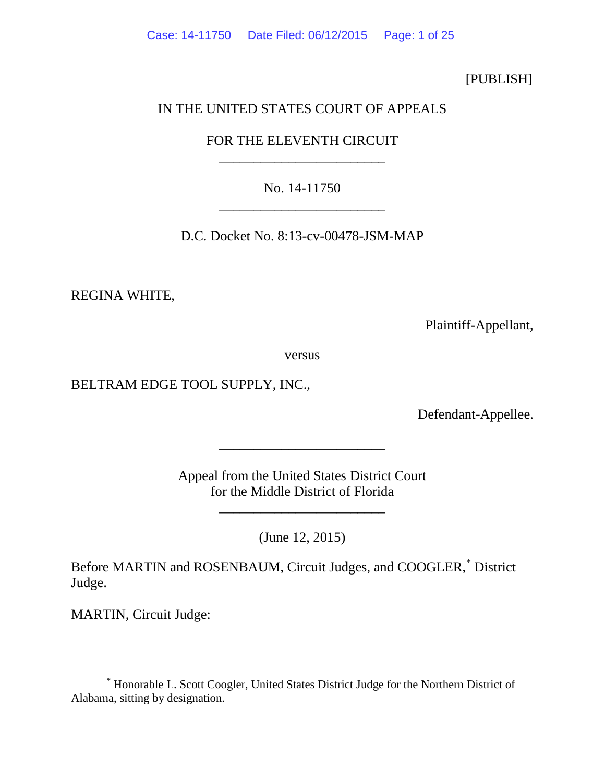[PUBLISH]

## IN THE UNITED STATES COURT OF APPEALS

# FOR THE ELEVENTH CIRCUIT \_\_\_\_\_\_\_\_\_\_\_\_\_\_\_\_\_\_\_\_\_\_\_\_

# No. 14-11750 \_\_\_\_\_\_\_\_\_\_\_\_\_\_\_\_\_\_\_\_\_\_\_\_

D.C. Docket No. 8:13-cv-00478-JSM-MAP

REGINA WHITE,

Plaintiff-Appellant,

versus

BELTRAM EDGE TOOL SUPPLY, INC.,

Defendant-Appellee.

Appeal from the United States District Court for the Middle District of Florida

\_\_\_\_\_\_\_\_\_\_\_\_\_\_\_\_\_\_\_\_\_\_\_\_

\_\_\_\_\_\_\_\_\_\_\_\_\_\_\_\_\_\_\_\_\_\_\_\_

(June 12, 2015)

Before MARTIN and ROSENBAUM, Circuit Judges, and COOGLER, [\\*](#page-0-0) District Judge.

MARTIN, Circuit Judge:

<span id="page-0-0"></span> <sup>\*</sup> Honorable L. Scott Coogler, United States District Judge for the Northern District of Alabama, sitting by designation.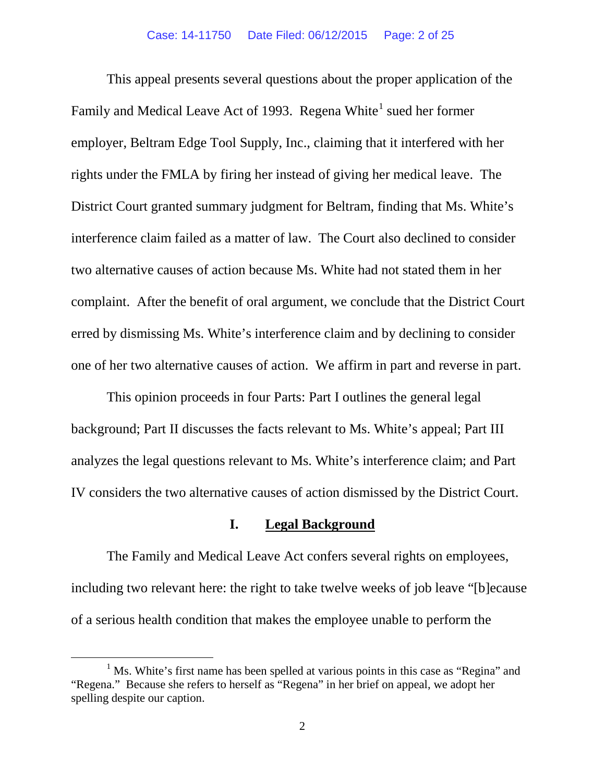This appeal presents several questions about the proper application of the Family and Medical Leave Act of [1](#page-1-0)993. Regena White<sup>1</sup> sued her former employer, Beltram Edge Tool Supply, Inc., claiming that it interfered with her rights under the FMLA by firing her instead of giving her medical leave. The District Court granted summary judgment for Beltram, finding that Ms. White's interference claim failed as a matter of law. The Court also declined to consider two alternative causes of action because Ms. White had not stated them in her complaint. After the benefit of oral argument, we conclude that the District Court erred by dismissing Ms. White's interference claim and by declining to consider one of her two alternative causes of action. We affirm in part and reverse in part.

This opinion proceeds in four Parts: Part I outlines the general legal background; Part II discusses the facts relevant to Ms. White's appeal; Part III analyzes the legal questions relevant to Ms. White's interference claim; and Part IV considers the two alternative causes of action dismissed by the District Court.

#### **I. Legal Background**

The Family and Medical Leave Act confers several rights on employees, including two relevant here: the right to take twelve weeks of job leave "[b]ecause of a serious health condition that makes the employee unable to perform the

<span id="page-1-0"></span><sup>&</sup>lt;sup>1</sup> Ms. White's first name has been spelled at various points in this case as "Regina" and "Regena." Because she refers to herself as "Regena" in her brief on appeal, we adopt her spelling despite our caption.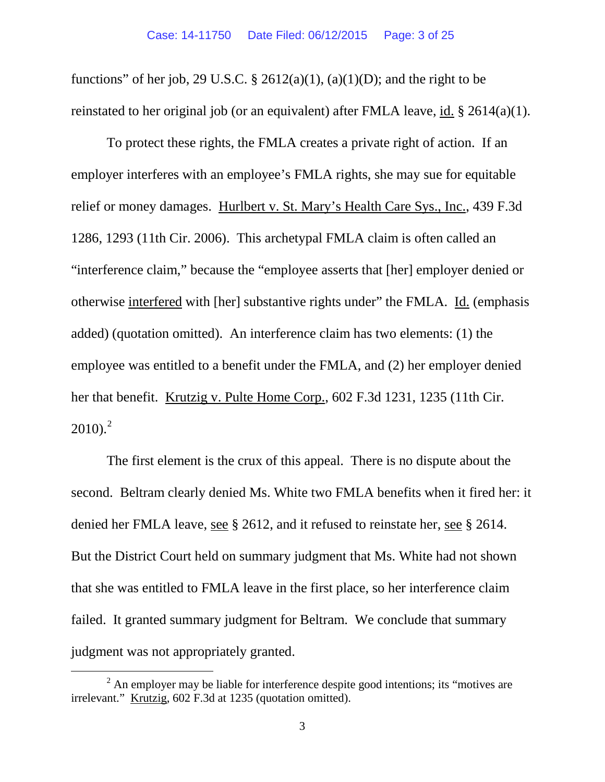functions" of her job, 29 U.S.C. § 2612(a)(1), (a)(1)(D); and the right to be reinstated to her original job (or an equivalent) after FMLA leave, id. § 2614(a)(1).

To protect these rights, the FMLA creates a private right of action. If an employer interferes with an employee's FMLA rights, she may sue for equitable relief or money damages. Hurlbert v. St. Mary's Health Care Sys., Inc., 439 F.3d 1286, 1293 (11th Cir. 2006). This archetypal FMLA claim is often called an "interference claim," because the "employee asserts that [her] employer denied or otherwise interfered with [her] substantive rights under" the FMLA. Id. (emphasis added) (quotation omitted). An interference claim has two elements: (1) the employee was entitled to a benefit under the FMLA, and (2) her employer denied her that benefit. Krutzig v. Pulte Home Corp., 602 F.3d 1231, 1235 (11th Cir.  $2010$  $2010$ ).<sup>2</sup>

The first element is the crux of this appeal. There is no dispute about the second. Beltram clearly denied Ms. White two FMLA benefits when it fired her: it denied her FMLA leave, see § 2612, and it refused to reinstate her, see § 2614. But the District Court held on summary judgment that Ms. White had not shown that she was entitled to FMLA leave in the first place, so her interference claim failed. It granted summary judgment for Beltram. We conclude that summary judgment was not appropriately granted.

<span id="page-2-0"></span> $2$  An employer may be liable for interference despite good intentions; its "motives are irrelevant." Krutzig, 602 F.3d at 1235 (quotation omitted).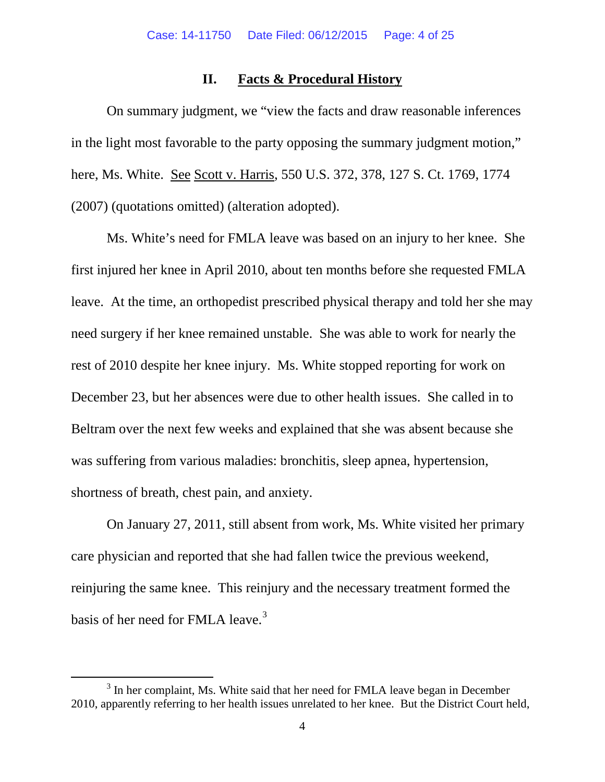## **II. Facts & Procedural History**

On summary judgment, we "view the facts and draw reasonable inferences in the light most favorable to the party opposing the summary judgment motion," here, Ms. White. See Scott v. Harris, 550 U.S. 372, 378, 127 S. Ct. 1769, 1774 (2007) (quotations omitted) (alteration adopted).

Ms. White's need for FMLA leave was based on an injury to her knee. She first injured her knee in April 2010, about ten months before she requested FMLA leave. At the time, an orthopedist prescribed physical therapy and told her she may need surgery if her knee remained unstable. She was able to work for nearly the rest of 2010 despite her knee injury. Ms. White stopped reporting for work on December 23, but her absences were due to other health issues. She called in to Beltram over the next few weeks and explained that she was absent because she was suffering from various maladies: bronchitis, sleep apnea, hypertension, shortness of breath, chest pain, and anxiety.

On January 27, 2011, still absent from work, Ms. White visited her primary care physician and reported that she had fallen twice the previous weekend, reinjuring the same knee. This reinjury and the necessary treatment formed the basis of her need for FMLA leave.<sup>[3](#page-3-0)</sup>

<span id="page-3-0"></span><sup>&</sup>lt;sup>3</sup> In her complaint, Ms. White said that her need for FMLA leave began in December 2010, apparently referring to her health issues unrelated to her knee. But the District Court held,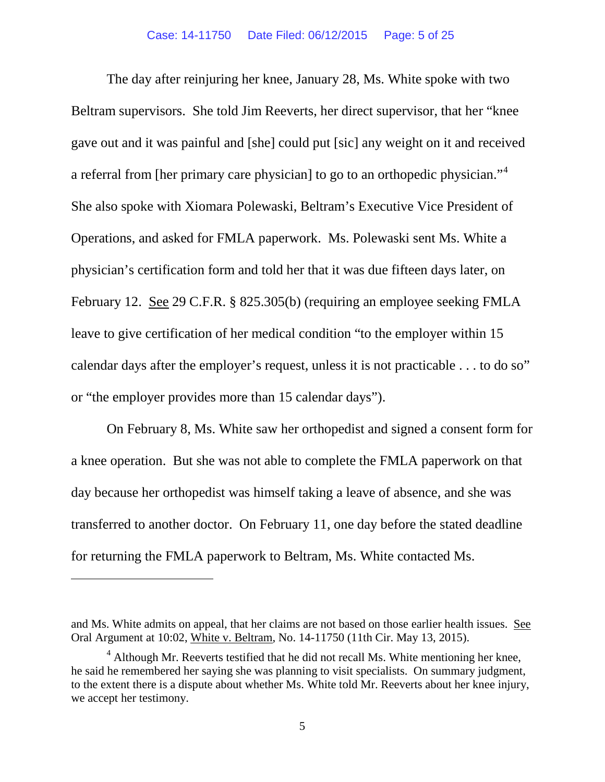The day after reinjuring her knee, January 28, Ms. White spoke with two Beltram supervisors. She told Jim Reeverts, her direct supervisor, that her "knee gave out and it was painful and [she] could put [sic] any weight on it and received a referral from [her primary care physician] to go to an orthopedic physician."<sup>[4](#page-4-0)</sup> She also spoke with Xiomara Polewaski, Beltram's Executive Vice President of Operations, and asked for FMLA paperwork. Ms. Polewaski sent Ms. White a physician's certification form and told her that it was due fifteen days later, on February 12. See 29 C.F.R. § 825.305(b) (requiring an employee seeking FMLA leave to give certification of her medical condition "to the employer within 15 calendar days after the employer's request, unless it is not practicable . . . to do so" or "the employer provides more than 15 calendar days").

On February 8, Ms. White saw her orthopedist and signed a consent form for a knee operation. But she was not able to complete the FMLA paperwork on that day because her orthopedist was himself taking a leave of absence, and she was transferred to another doctor. On February 11, one day before the stated deadline for returning the FMLA paperwork to Beltram, Ms. White contacted Ms.

 $\overline{a}$ 

and Ms. White admits on appeal, that her claims are not based on those earlier health issues. See Oral Argument at 10:02, White v. Beltram, No. 14-11750 (11th Cir. May 13, 2015).

<span id="page-4-0"></span> $<sup>4</sup>$  Although Mr. Reeverts testified that he did not recall Ms. White mentioning her knee,</sup> he said he remembered her saying she was planning to visit specialists. On summary judgment, to the extent there is a dispute about whether Ms. White told Mr. Reeverts about her knee injury, we accept her testimony.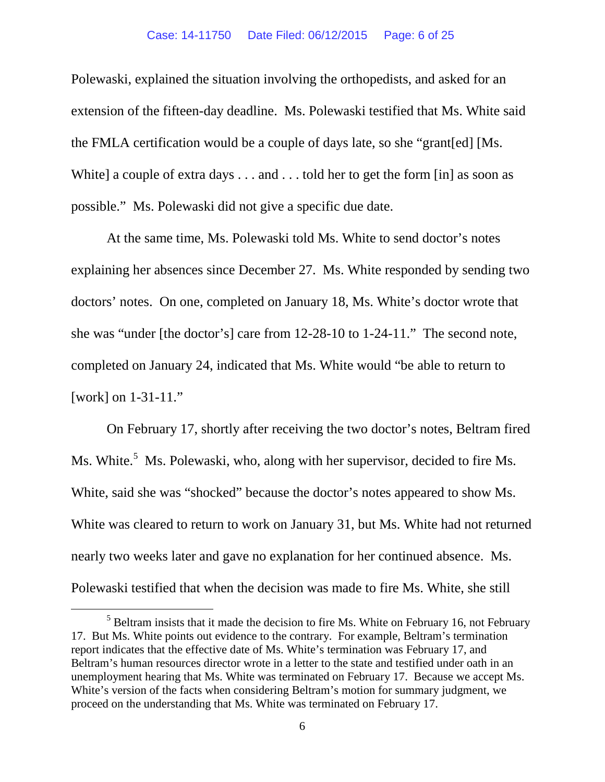#### Case: 14-11750 Date Filed: 06/12/2015 Page: 6 of 25

Polewaski, explained the situation involving the orthopedists, and asked for an extension of the fifteen-day deadline. Ms. Polewaski testified that Ms. White said the FMLA certification would be a couple of days late, so she "grant[ed] [Ms. White] a couple of extra days . . . and . . . told her to get the form [in] as soon as possible." Ms. Polewaski did not give a specific due date.

At the same time, Ms. Polewaski told Ms. White to send doctor's notes explaining her absences since December 27. Ms. White responded by sending two doctors' notes. On one, completed on January 18, Ms. White's doctor wrote that she was "under [the doctor's] care from 12-28-10 to 1-24-11." The second note, completed on January 24, indicated that Ms. White would "be able to return to [work] on 1-31-11."

On February 17, shortly after receiving the two doctor's notes, Beltram fired Ms. White.<sup>[5](#page-5-0)</sup> Ms. Polewaski, who, along with her supervisor, decided to fire Ms. White, said she was "shocked" because the doctor's notes appeared to show Ms. White was cleared to return to work on January 31, but Ms. White had not returned nearly two weeks later and gave no explanation for her continued absence. Ms. Polewaski testified that when the decision was made to fire Ms. White, she still

<span id="page-5-0"></span> $<sup>5</sup>$  Beltram insists that it made the decision to fire Ms. White on February 16, not February</sup> 17. But Ms. White points out evidence to the contrary. For example, Beltram's termination report indicates that the effective date of Ms. White's termination was February 17, and Beltram's human resources director wrote in a letter to the state and testified under oath in an unemployment hearing that Ms. White was terminated on February 17. Because we accept Ms. White's version of the facts when considering Beltram's motion for summary judgment, we proceed on the understanding that Ms. White was terminated on February 17.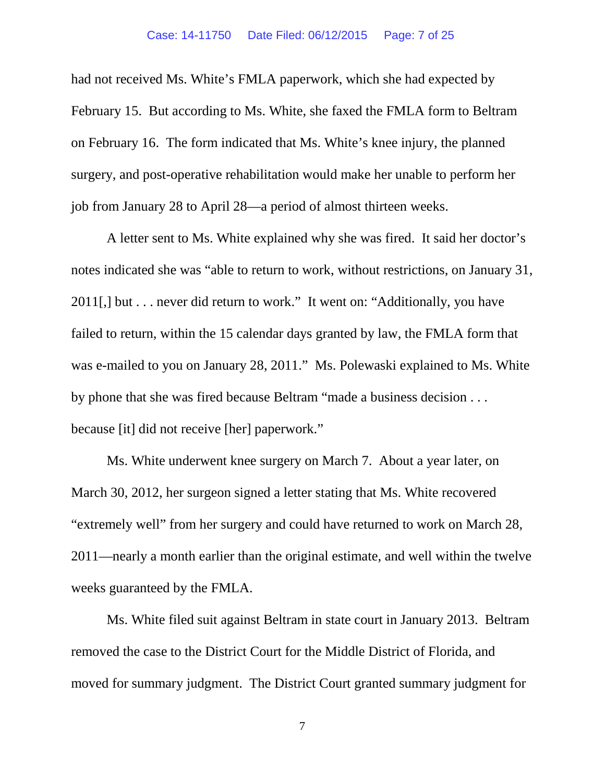had not received Ms. White's FMLA paperwork, which she had expected by February 15. But according to Ms. White, she faxed the FMLA form to Beltram on February 16. The form indicated that Ms. White's knee injury, the planned surgery, and post-operative rehabilitation would make her unable to perform her job from January 28 to April 28—a period of almost thirteen weeks.

A letter sent to Ms. White explained why she was fired. It said her doctor's notes indicated she was "able to return to work, without restrictions, on January 31, 2011[,] but . . . never did return to work." It went on: "Additionally, you have failed to return, within the 15 calendar days granted by law, the FMLA form that was e-mailed to you on January 28, 2011." Ms. Polewaski explained to Ms. White by phone that she was fired because Beltram "made a business decision . . . because [it] did not receive [her] paperwork."

Ms. White underwent knee surgery on March 7. About a year later, on March 30, 2012, her surgeon signed a letter stating that Ms. White recovered "extremely well" from her surgery and could have returned to work on March 28, 2011—nearly a month earlier than the original estimate, and well within the twelve weeks guaranteed by the FMLA.

Ms. White filed suit against Beltram in state court in January 2013. Beltram removed the case to the District Court for the Middle District of Florida, and moved for summary judgment. The District Court granted summary judgment for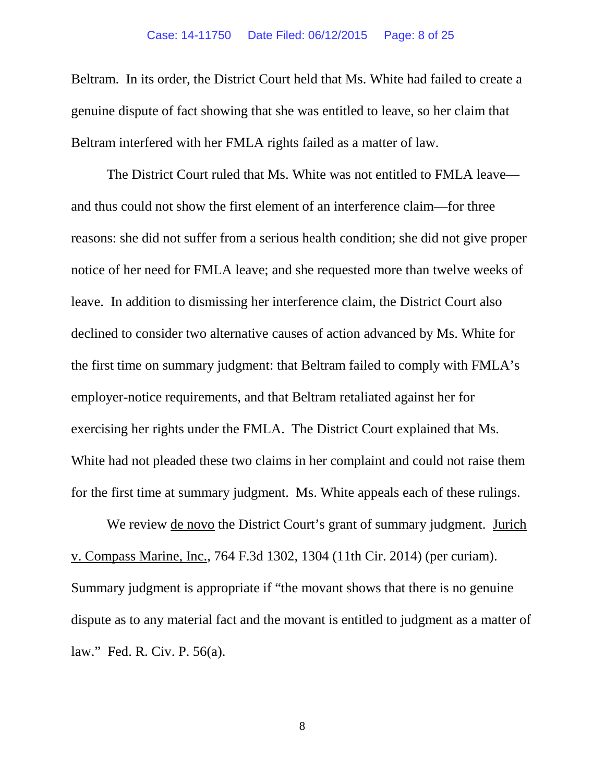Beltram. In its order, the District Court held that Ms. White had failed to create a genuine dispute of fact showing that she was entitled to leave, so her claim that Beltram interfered with her FMLA rights failed as a matter of law.

The District Court ruled that Ms. White was not entitled to FMLA leave and thus could not show the first element of an interference claim—for three reasons: she did not suffer from a serious health condition; she did not give proper notice of her need for FMLA leave; and she requested more than twelve weeks of leave. In addition to dismissing her interference claim, the District Court also declined to consider two alternative causes of action advanced by Ms. White for the first time on summary judgment: that Beltram failed to comply with FMLA's employer-notice requirements, and that Beltram retaliated against her for exercising her rights under the FMLA. The District Court explained that Ms. White had not pleaded these two claims in her complaint and could not raise them for the first time at summary judgment. Ms. White appeals each of these rulings.

We review <u>de novo</u> the District Court's grant of summary judgment. Jurich v. Compass Marine, Inc., 764 F.3d 1302, 1304 (11th Cir. 2014) (per curiam). Summary judgment is appropriate if "the movant shows that there is no genuine dispute as to any material fact and the movant is entitled to judgment as a matter of law." Fed. R. Civ. P. 56(a).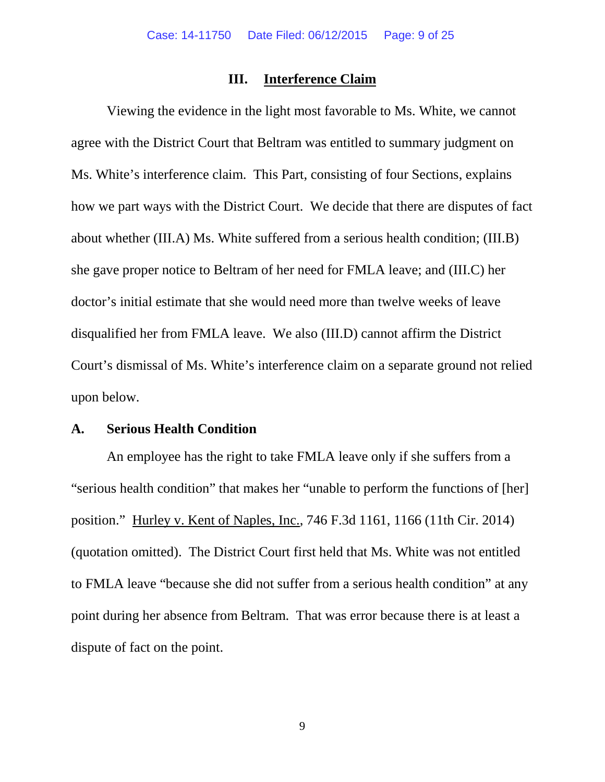## **III. Interference Claim**

Viewing the evidence in the light most favorable to Ms. White, we cannot agree with the District Court that Beltram was entitled to summary judgment on Ms. White's interference claim. This Part, consisting of four Sections, explains how we part ways with the District Court. We decide that there are disputes of fact about whether (III.A) Ms. White suffered from a serious health condition; (III.B) she gave proper notice to Beltram of her need for FMLA leave; and (III.C) her doctor's initial estimate that she would need more than twelve weeks of leave disqualified her from FMLA leave. We also (III.D) cannot affirm the District Court's dismissal of Ms. White's interference claim on a separate ground not relied upon below.

### **A. Serious Health Condition**

An employee has the right to take FMLA leave only if she suffers from a "serious health condition" that makes her "unable to perform the functions of [her] position." Hurley v. Kent of Naples, Inc., 746 F.3d 1161, 1166 (11th Cir. 2014) (quotation omitted). The District Court first held that Ms. White was not entitled to FMLA leave "because she did not suffer from a serious health condition" at any point during her absence from Beltram. That was error because there is at least a dispute of fact on the point.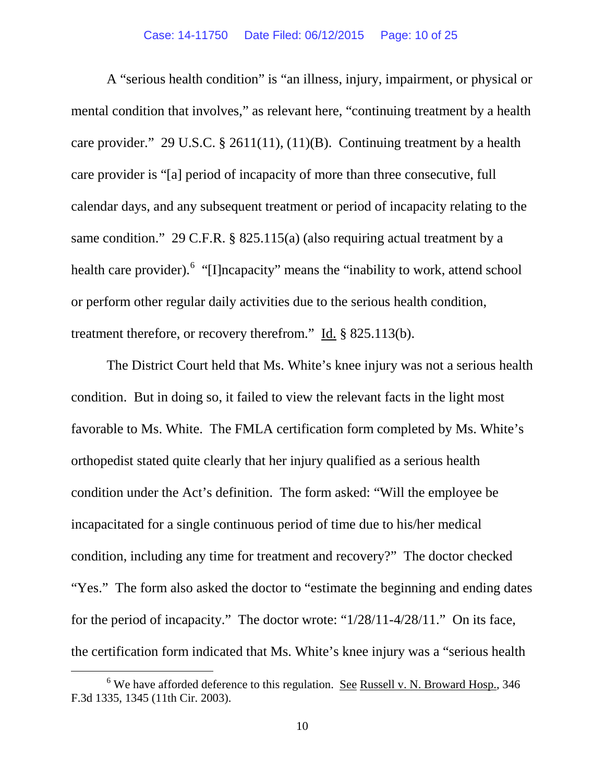A "serious health condition" is "an illness, injury, impairment, or physical or mental condition that involves," as relevant here, "continuing treatment by a health care provider." 29 U.S.C. § 2611(11), (11)(B). Continuing treatment by a health care provider is "[a] period of incapacity of more than three consecutive, full calendar days, and any subsequent treatment or period of incapacity relating to the same condition." 29 C.F.R. § 825.115(a) (also requiring actual treatment by a health care provider). "[I]ncapacity" means the "inability to work, attend school or perform other regular daily activities due to the serious health condition, treatment therefore, or recovery therefrom." Id. § 825.113(b).

The District Court held that Ms. White's knee injury was not a serious health condition. But in doing so, it failed to view the relevant facts in the light most favorable to Ms. White. The FMLA certification form completed by Ms. White's orthopedist stated quite clearly that her injury qualified as a serious health condition under the Act's definition. The form asked: "Will the employee be incapacitated for a single continuous period of time due to his/her medical condition, including any time for treatment and recovery?" The doctor checked "Yes." The form also asked the doctor to "estimate the beginning and ending dates" for the period of incapacity." The doctor wrote: "1/28/11-4/28/11." On its face, the certification form indicated that Ms. White's knee injury was a "serious health

<span id="page-9-0"></span> $6$  We have afforded deference to this regulation. See Russell v. N. Broward Hosp., 346 F.3d 1335, 1345 (11th Cir. 2003).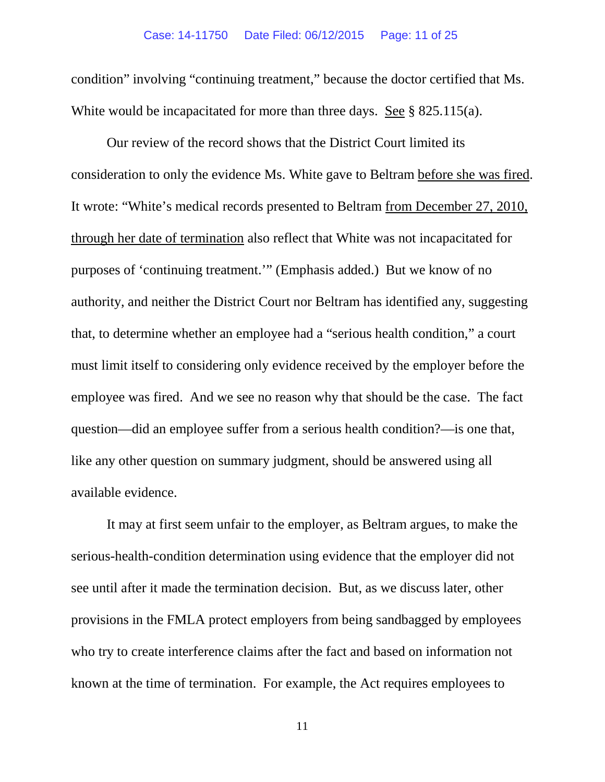condition" involving "continuing treatment," because the doctor certified that Ms. White would be incapacitated for more than three days. See § 825.115(a).

Our review of the record shows that the District Court limited its consideration to only the evidence Ms. White gave to Beltram before she was fired. It wrote: "White's medical records presented to Beltram from December 27, 2010, through her date of termination also reflect that White was not incapacitated for purposes of 'continuing treatment.'" (Emphasis added.) But we know of no authority, and neither the District Court nor Beltram has identified any, suggesting that, to determine whether an employee had a "serious health condition," a court must limit itself to considering only evidence received by the employer before the employee was fired. And we see no reason why that should be the case. The fact question—did an employee suffer from a serious health condition?—is one that, like any other question on summary judgment, should be answered using all available evidence.

It may at first seem unfair to the employer, as Beltram argues, to make the serious-health-condition determination using evidence that the employer did not see until after it made the termination decision. But, as we discuss later, other provisions in the FMLA protect employers from being sandbagged by employees who try to create interference claims after the fact and based on information not known at the time of termination. For example, the Act requires employees to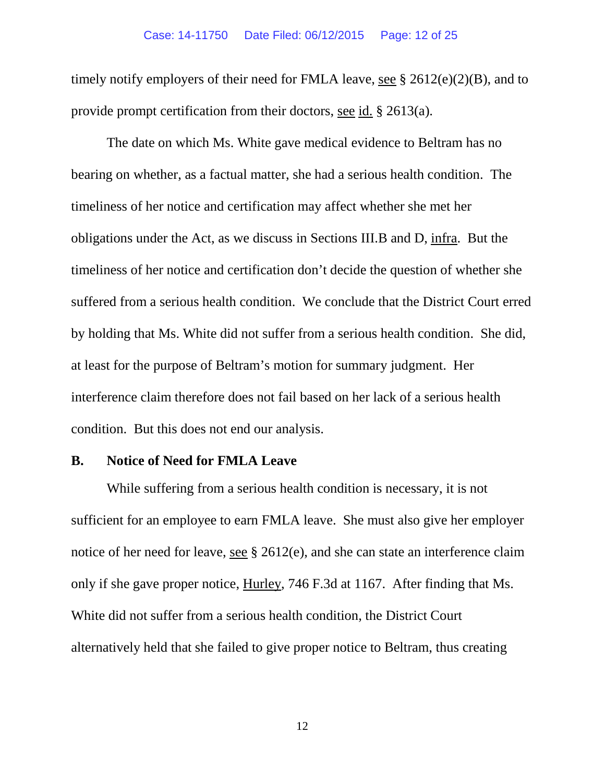#### Case: 14-11750 Date Filed: 06/12/2015 Page: 12 of 25

timely notify employers of their need for FMLA leave, see § 2612(e)(2)(B), and to provide prompt certification from their doctors, see id. § 2613(a).

The date on which Ms. White gave medical evidence to Beltram has no bearing on whether, as a factual matter, she had a serious health condition. The timeliness of her notice and certification may affect whether she met her obligations under the Act, as we discuss in Sections III.B and D, infra. But the timeliness of her notice and certification don't decide the question of whether she suffered from a serious health condition. We conclude that the District Court erred by holding that Ms. White did not suffer from a serious health condition. She did, at least for the purpose of Beltram's motion for summary judgment. Her interference claim therefore does not fail based on her lack of a serious health condition. But this does not end our analysis.

### **B. Notice of Need for FMLA Leave**

While suffering from a serious health condition is necessary, it is not sufficient for an employee to earn FMLA leave. She must also give her employer notice of her need for leave, see § 2612(e), and she can state an interference claim only if she gave proper notice, Hurley, 746 F.3d at 1167. After finding that Ms. White did not suffer from a serious health condition, the District Court alternatively held that she failed to give proper notice to Beltram, thus creating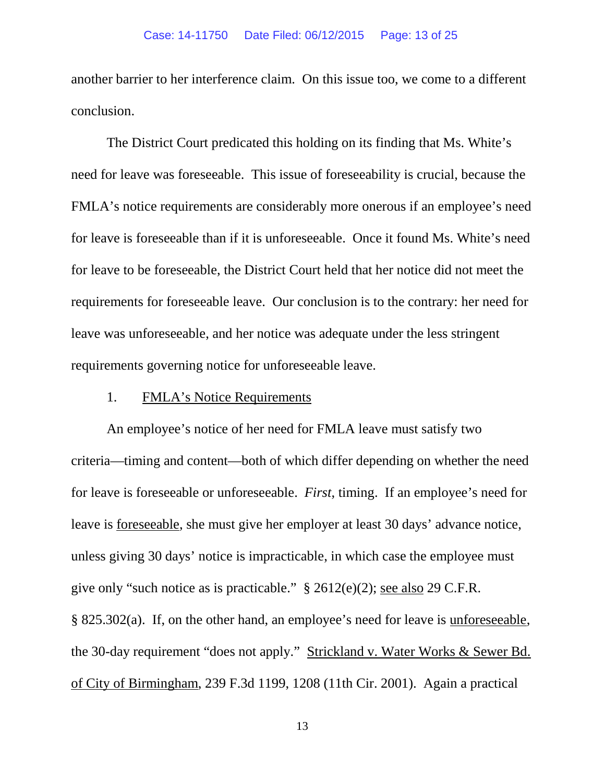another barrier to her interference claim. On this issue too, we come to a different conclusion.

The District Court predicated this holding on its finding that Ms. White's need for leave was foreseeable. This issue of foreseeability is crucial, because the FMLA's notice requirements are considerably more onerous if an employee's need for leave is foreseeable than if it is unforeseeable. Once it found Ms. White's need for leave to be foreseeable, the District Court held that her notice did not meet the requirements for foreseeable leave. Our conclusion is to the contrary: her need for leave was unforeseeable, and her notice was adequate under the less stringent requirements governing notice for unforeseeable leave.

### 1. FMLA's Notice Requirements

An employee's notice of her need for FMLA leave must satisfy two criteria—timing and content—both of which differ depending on whether the need for leave is foreseeable or unforeseeable. *First*, timing. If an employee's need for leave is foreseeable, she must give her employer at least 30 days' advance notice, unless giving 30 days' notice is impracticable, in which case the employee must give only "such notice as is practicable." § 2612(e)(2); see also 29 C.F.R. § 825.302(a). If, on the other hand, an employee's need for leave is unforeseeable, the 30-day requirement "does not apply." Strickland v. Water Works & Sewer Bd. of City of Birmingham, 239 F.3d 1199, 1208 (11th Cir. 2001). Again a practical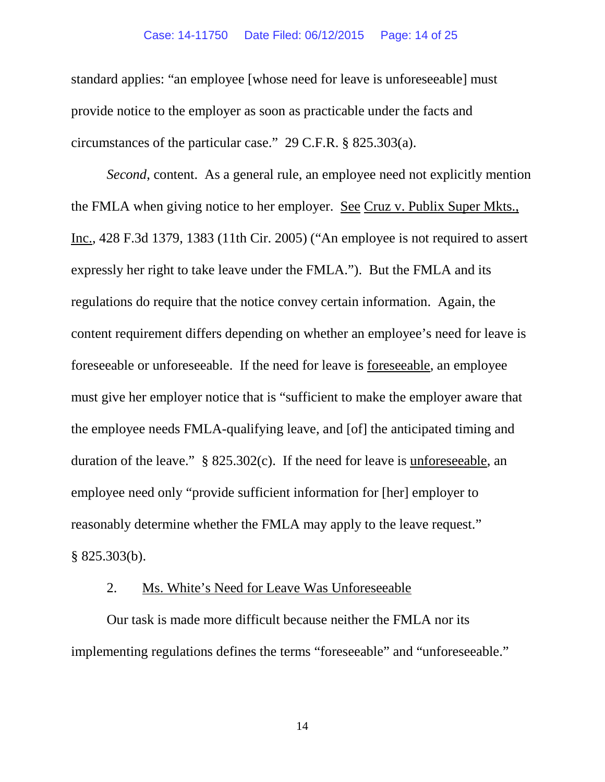#### Case: 14-11750 Date Filed: 06/12/2015 Page: 14 of 25

standard applies: "an employee [whose need for leave is unforeseeable] must provide notice to the employer as soon as practicable under the facts and circumstances of the particular case." 29 C.F.R. § 825.303(a).

*Second*, content. As a general rule, an employee need not explicitly mention the FMLA when giving notice to her employer. See Cruz v. Publix Super Mkts., Inc., 428 F.3d 1379, 1383 (11th Cir. 2005) ("An employee is not required to assert expressly her right to take leave under the FMLA."). But the FMLA and its regulations do require that the notice convey certain information. Again, the content requirement differs depending on whether an employee's need for leave is foreseeable or unforeseeable. If the need for leave is foreseeable, an employee must give her employer notice that is "sufficient to make the employer aware that the employee needs FMLA-qualifying leave, and [of] the anticipated timing and duration of the leave." § 825.302(c). If the need for leave is unforeseeable, an employee need only "provide sufficient information for [her] employer to reasonably determine whether the FMLA may apply to the leave request." § 825.303(b).

### 2. Ms. White's Need for Leave Was Unforeseeable

Our task is made more difficult because neither the FMLA nor its implementing regulations defines the terms "foreseeable" and "unforeseeable."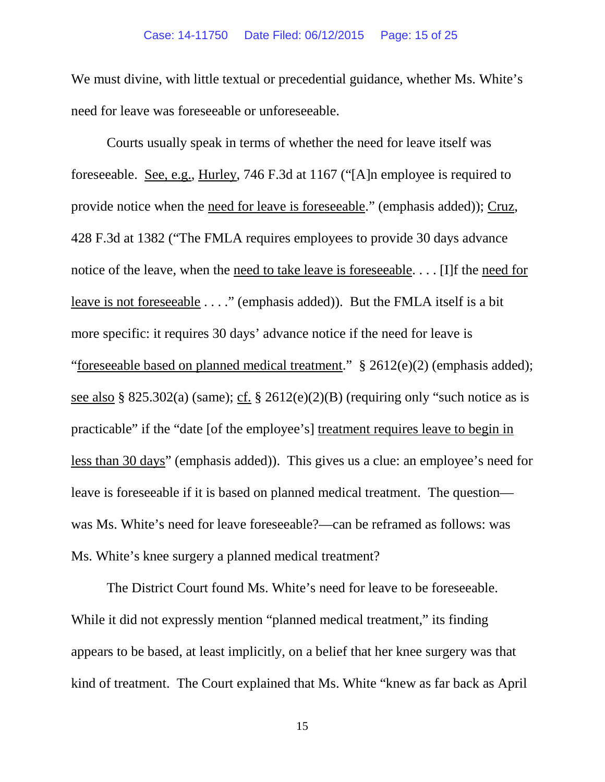We must divine, with little textual or precedential guidance, whether Ms. White's need for leave was foreseeable or unforeseeable.

Courts usually speak in terms of whether the need for leave itself was foreseeable. See, e.g., Hurley, 746 F.3d at 1167 ("[A]n employee is required to provide notice when the need for leave is foreseeable." (emphasis added)); Cruz, 428 F.3d at 1382 ("The FMLA requires employees to provide 30 days advance notice of the leave, when the need to take leave is foreseeable. . . . [I]f the need for leave is not foreseeable . . . ." (emphasis added)). But the FMLA itself is a bit more specific: it requires 30 days' advance notice if the need for leave is "foreseeable based on planned medical treatment."  $\S$  2612(e)(2) (emphasis added); see also § 825.302(a) (same); cf. § 2612(e)(2)(B) (requiring only "such notice as is practicable" if the "date [of the employee's] treatment requires leave to begin in less than 30 days" (emphasis added)). This gives us a clue: an employee's need for leave is foreseeable if it is based on planned medical treatment. The question was Ms. White's need for leave foreseeable?—can be reframed as follows: was Ms. White's knee surgery a planned medical treatment?

The District Court found Ms. White's need for leave to be foreseeable. While it did not expressly mention "planned medical treatment," its finding appears to be based, at least implicitly, on a belief that her knee surgery was that kind of treatment. The Court explained that Ms. White "knew as far back as April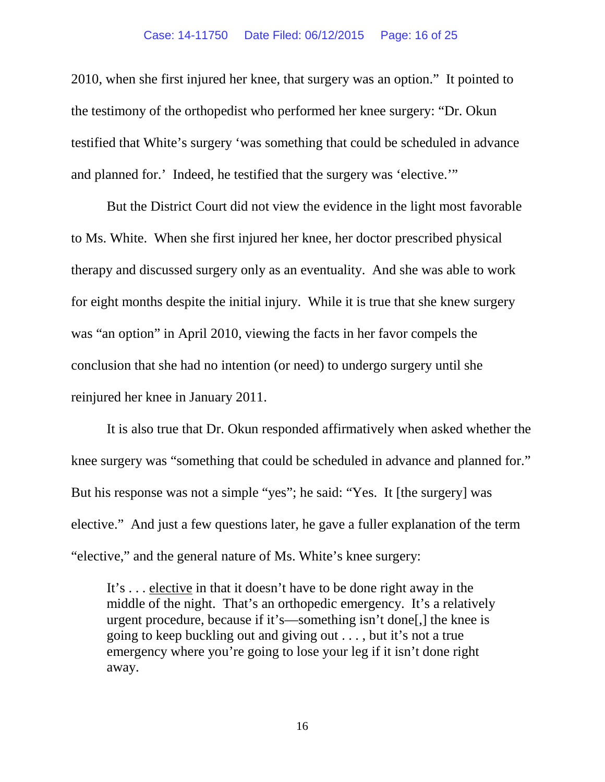#### Case: 14-11750 Date Filed: 06/12/2015 Page: 16 of 25

2010, when she first injured her knee, that surgery was an option." It pointed to the testimony of the orthopedist who performed her knee surgery: "Dr. Okun testified that White's surgery 'was something that could be scheduled in advance and planned for.' Indeed, he testified that the surgery was 'elective.'"

But the District Court did not view the evidence in the light most favorable to Ms. White. When she first injured her knee, her doctor prescribed physical therapy and discussed surgery only as an eventuality. And she was able to work for eight months despite the initial injury. While it is true that she knew surgery was "an option" in April 2010, viewing the facts in her favor compels the conclusion that she had no intention (or need) to undergo surgery until she reinjured her knee in January 2011.

It is also true that Dr. Okun responded affirmatively when asked whether the knee surgery was "something that could be scheduled in advance and planned for." But his response was not a simple "yes"; he said: "Yes. It [the surgery] was elective." And just a few questions later, he gave a fuller explanation of the term "elective," and the general nature of Ms. White's knee surgery:

It's . . . elective in that it doesn't have to be done right away in the middle of the night. That's an orthopedic emergency. It's a relatively urgent procedure, because if it's—something isn't done[,] the knee is going to keep buckling out and giving out . . . , but it's not a true emergency where you're going to lose your leg if it isn't done right away.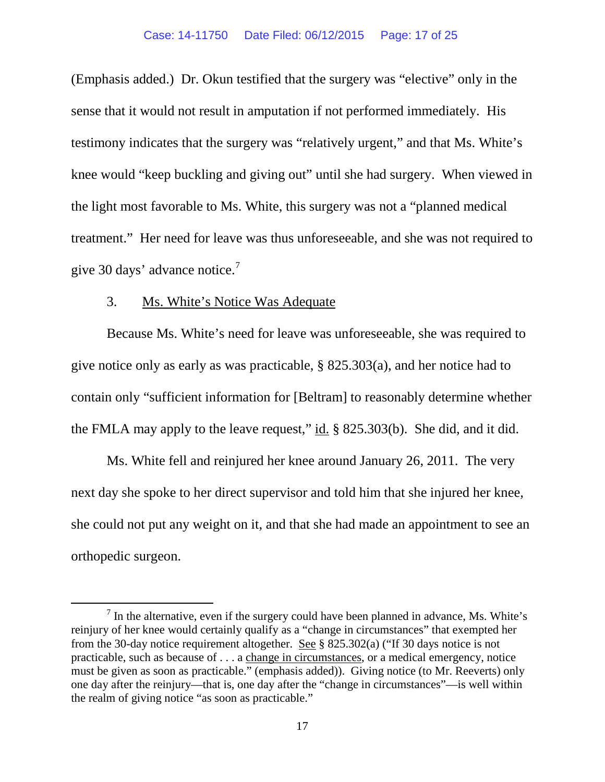(Emphasis added.) Dr. Okun testified that the surgery was "elective" only in the sense that it would not result in amputation if not performed immediately. His testimony indicates that the surgery was "relatively urgent," and that Ms. White's knee would "keep buckling and giving out" until she had surgery. When viewed in the light most favorable to Ms. White, this surgery was not a "planned medical treatment." Her need for leave was thus unforeseeable, and she was not required to give 30 days' advance notice.[7](#page-16-0)

### 3. Ms. White's Notice Was Adequate

Because Ms. White's need for leave was unforeseeable, she was required to give notice only as early as was practicable, § 825.303(a), and her notice had to contain only "sufficient information for [Beltram] to reasonably determine whether the FMLA may apply to the leave request," id. § 825.303(b). She did, and it did.

Ms. White fell and reinjured her knee around January 26, 2011. The very next day she spoke to her direct supervisor and told him that she injured her knee, she could not put any weight on it, and that she had made an appointment to see an orthopedic surgeon.

<span id="page-16-0"></span> $<sup>7</sup>$  In the alternative, even if the surgery could have been planned in advance, Ms. White's</sup> reinjury of her knee would certainly qualify as a "change in circumstances" that exempted her from the 30-day notice requirement altogether. See § 825.302(a) ("If 30 days notice is not practicable, such as because of . . . a change in circumstances, or a medical emergency, notice must be given as soon as practicable." (emphasis added)). Giving notice (to Mr. Reeverts) only one day after the reinjury—that is, one day after the "change in circumstances"—is well within the realm of giving notice "as soon as practicable."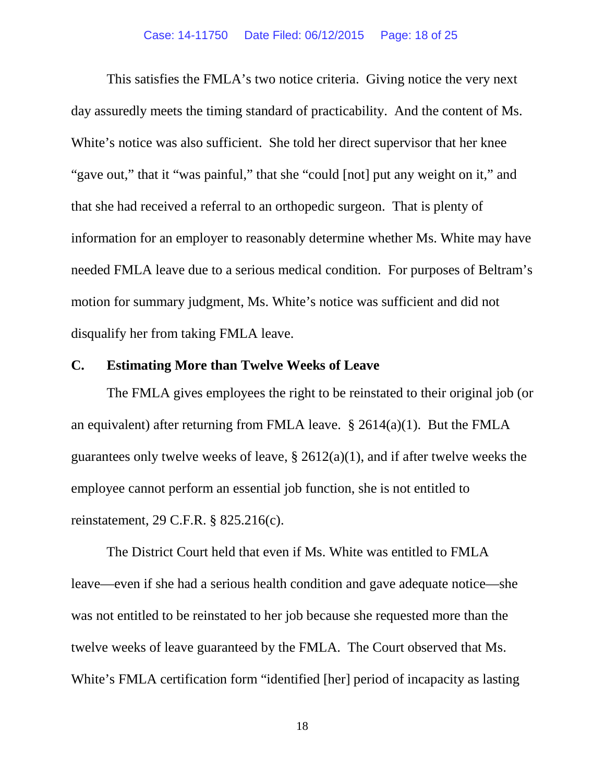This satisfies the FMLA's two notice criteria. Giving notice the very next day assuredly meets the timing standard of practicability. And the content of Ms. White's notice was also sufficient. She told her direct supervisor that her knee "gave out," that it "was painful," that she "could [not] put any weight on it," and that she had received a referral to an orthopedic surgeon. That is plenty of information for an employer to reasonably determine whether Ms. White may have needed FMLA leave due to a serious medical condition. For purposes of Beltram's motion for summary judgment, Ms. White's notice was sufficient and did not disqualify her from taking FMLA leave.

## **C. Estimating More than Twelve Weeks of Leave**

The FMLA gives employees the right to be reinstated to their original job (or an equivalent) after returning from FMLA leave.  $\S 2614(a)(1)$ . But the FMLA guarantees only twelve weeks of leave,  $\S 2612(a)(1)$ , and if after twelve weeks the employee cannot perform an essential job function, she is not entitled to reinstatement, 29 C.F.R. § 825.216(c).

The District Court held that even if Ms. White was entitled to FMLA leave—even if she had a serious health condition and gave adequate notice—she was not entitled to be reinstated to her job because she requested more than the twelve weeks of leave guaranteed by the FMLA. The Court observed that Ms. White's FMLA certification form "identified [her] period of incapacity as lasting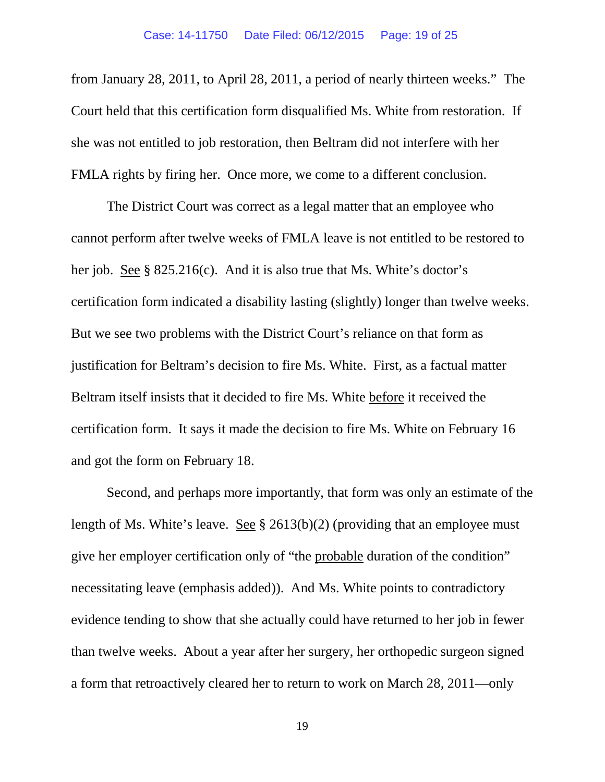from January 28, 2011, to April 28, 2011, a period of nearly thirteen weeks." The Court held that this certification form disqualified Ms. White from restoration. If she was not entitled to job restoration, then Beltram did not interfere with her FMLA rights by firing her. Once more, we come to a different conclusion.

The District Court was correct as a legal matter that an employee who cannot perform after twelve weeks of FMLA leave is not entitled to be restored to her job. See § 825.216(c). And it is also true that Ms. White's doctor's certification form indicated a disability lasting (slightly) longer than twelve weeks. But we see two problems with the District Court's reliance on that form as justification for Beltram's decision to fire Ms. White. First, as a factual matter Beltram itself insists that it decided to fire Ms. White before it received the certification form. It says it made the decision to fire Ms. White on February 16 and got the form on February 18.

Second, and perhaps more importantly, that form was only an estimate of the length of Ms. White's leave. See § 2613(b)(2) (providing that an employee must give her employer certification only of "the probable duration of the condition" necessitating leave (emphasis added)). And Ms. White points to contradictory evidence tending to show that she actually could have returned to her job in fewer than twelve weeks. About a year after her surgery, her orthopedic surgeon signed a form that retroactively cleared her to return to work on March 28, 2011—only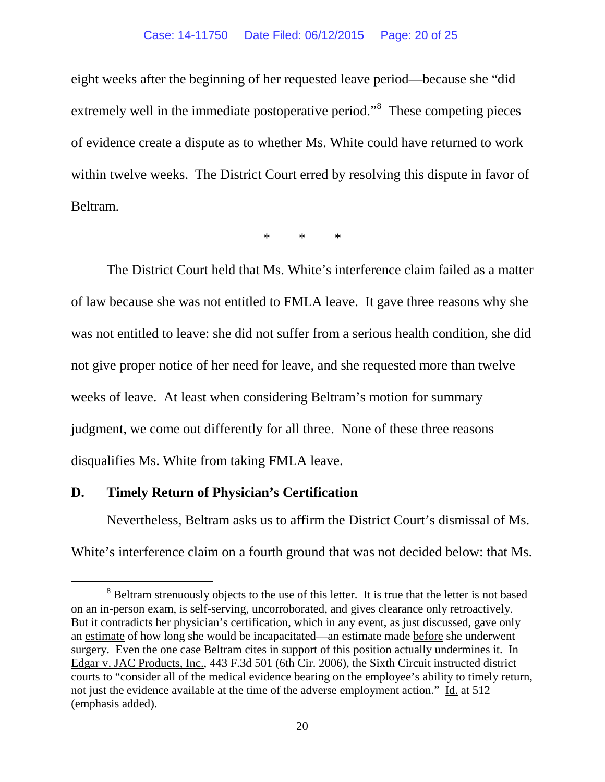#### Case: 14-11750 Date Filed: 06/12/2015 Page: 20 of 25

eight weeks after the beginning of her requested leave period—because she "did extremely well in the immediate postoperative period."<sup>[8](#page-19-0)</sup> These competing pieces of evidence create a dispute as to whether Ms. White could have returned to work within twelve weeks. The District Court erred by resolving this dispute in favor of Beltram.

\* \* \*

The District Court held that Ms. White's interference claim failed as a matter of law because she was not entitled to FMLA leave. It gave three reasons why she was not entitled to leave: she did not suffer from a serious health condition, she did not give proper notice of her need for leave, and she requested more than twelve weeks of leave. At least when considering Beltram's motion for summary judgment, we come out differently for all three. None of these three reasons disqualifies Ms. White from taking FMLA leave.

## **D. Timely Return of Physician's Certification**

Nevertheless, Beltram asks us to affirm the District Court's dismissal of Ms. White's interference claim on a fourth ground that was not decided below: that Ms.

<span id="page-19-0"></span><sup>&</sup>lt;sup>8</sup> Beltram strenuously objects to the use of this letter. It is true that the letter is not based on an in-person exam, is self-serving, uncorroborated, and gives clearance only retroactively. But it contradicts her physician's certification, which in any event, as just discussed, gave only an estimate of how long she would be incapacitated—an estimate made before she underwent surgery. Even the one case Beltram cites in support of this position actually undermines it. In Edgar v. JAC Products, Inc., 443 F.3d 501 (6th Cir. 2006), the Sixth Circuit instructed district courts to "consider all of the medical evidence bearing on the employee's ability to timely return, not just the evidence available at the time of the adverse employment action." Id. at 512 (emphasis added).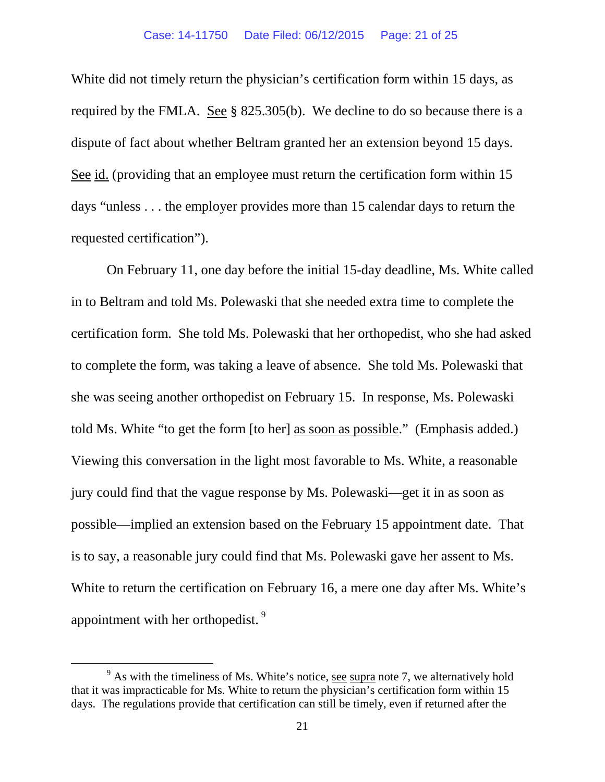White did not timely return the physician's certification form within 15 days, as required by the FMLA. See § 825.305(b). We decline to do so because there is a dispute of fact about whether Beltram granted her an extension beyond 15 days. See id. (providing that an employee must return the certification form within 15 days "unless . . . the employer provides more than 15 calendar days to return the requested certification").

On February 11, one day before the initial 15-day deadline, Ms. White called in to Beltram and told Ms. Polewaski that she needed extra time to complete the certification form. She told Ms. Polewaski that her orthopedist, who she had asked to complete the form, was taking a leave of absence. She told Ms. Polewaski that she was seeing another orthopedist on February 15. In response, Ms. Polewaski told Ms. White "to get the form [to her] as soon as possible." (Emphasis added.) Viewing this conversation in the light most favorable to Ms. White, a reasonable jury could find that the vague response by Ms. Polewaski—get it in as soon as possible—implied an extension based on the February 15 appointment date. That is to say, a reasonable jury could find that Ms. Polewaski gave her assent to Ms. White to return the certification on February 16, a mere one day after Ms. White's appointment with her orthopedist.<sup>[9](#page-20-0)</sup>

<span id="page-20-0"></span> $9<sup>9</sup>$  As with the timeliness of Ms. White's notice, see supra note 7, we alternatively hold that it was impracticable for Ms. White to return the physician's certification form within 15 days. The regulations provide that certification can still be timely, even if returned after the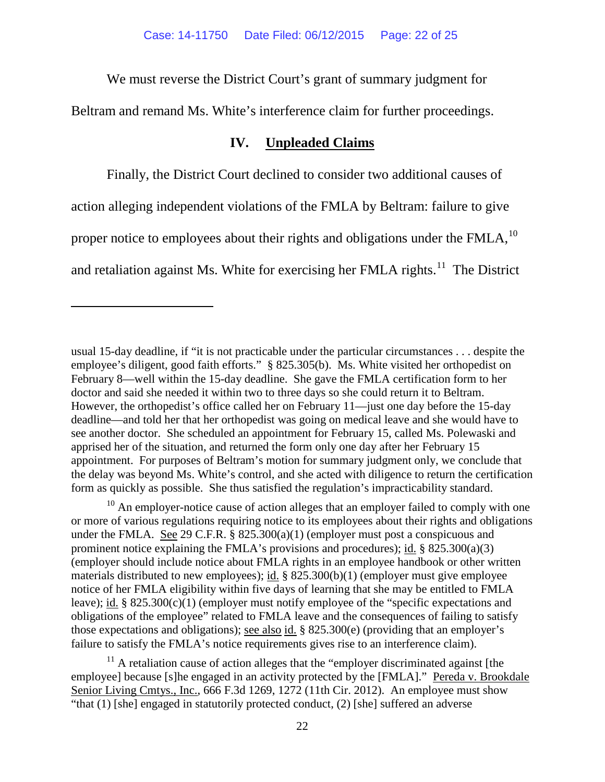We must reverse the District Court's grant of summary judgment for

Beltram and remand Ms. White's interference claim for further proceedings.

## **IV. Unpleaded Claims**

Finally, the District Court declined to consider two additional causes of action alleging independent violations of the FMLA by Beltram: failure to give proper notice to employees about their rights and obligations under the FMLA,<sup>[10](#page-21-0)</sup> and retaliation against Ms. White for exercising her FMLA rights. $11$  The District

 $\overline{a}$ 

<span id="page-21-0"></span><sup>10</sup> An employer-notice cause of action alleges that an employer failed to comply with one or more of various regulations requiring notice to its employees about their rights and obligations under the FMLA. See 29 C.F.R. § 825.300(a)(1) (employer must post a conspicuous and prominent notice explaining the FMLA's provisions and procedures); id.  $\S$  825.300(a)(3) (employer should include notice about FMLA rights in an employee handbook or other written materials distributed to new employees); id. § 825.300(b)(1) (employer must give employee notice of her FMLA eligibility within five days of learning that she may be entitled to FMLA leave); id. § 825.300(c)(1) (employer must notify employee of the "specific expectations and obligations of the employee" related to FMLA leave and the consequences of failing to satisfy those expectations and obligations); <u>see also id.</u> § 825.300 $(e)$  (providing that an employer's failure to satisfy the FMLA's notice requirements gives rise to an interference claim).

<span id="page-21-1"></span> $11$  A retaliation cause of action alleges that the "employer discriminated against [the employee] because [s]he engaged in an activity protected by the [FMLA]." Pereda v. Brookdale Senior Living Cmtys., Inc., 666 F.3d 1269, 1272 (11th Cir. 2012). An employee must show "that (1) [she] engaged in statutorily protected conduct, (2) [she] suffered an adverse

usual 15-day deadline, if "it is not practicable under the particular circumstances . . . despite the employee's diligent, good faith efforts." § 825.305(b). Ms. White visited her orthopedist on February 8—well within the 15-day deadline. She gave the FMLA certification form to her doctor and said she needed it within two to three days so she could return it to Beltram. However, the orthopedist's office called her on February 11—just one day before the 15-day deadline—and told her that her orthopedist was going on medical leave and she would have to see another doctor. She scheduled an appointment for February 15, called Ms. Polewaski and apprised her of the situation, and returned the form only one day after her February 15 appointment. For purposes of Beltram's motion for summary judgment only, we conclude that the delay was beyond Ms. White's control, and she acted with diligence to return the certification form as quickly as possible. She thus satisfied the regulation's impracticability standard.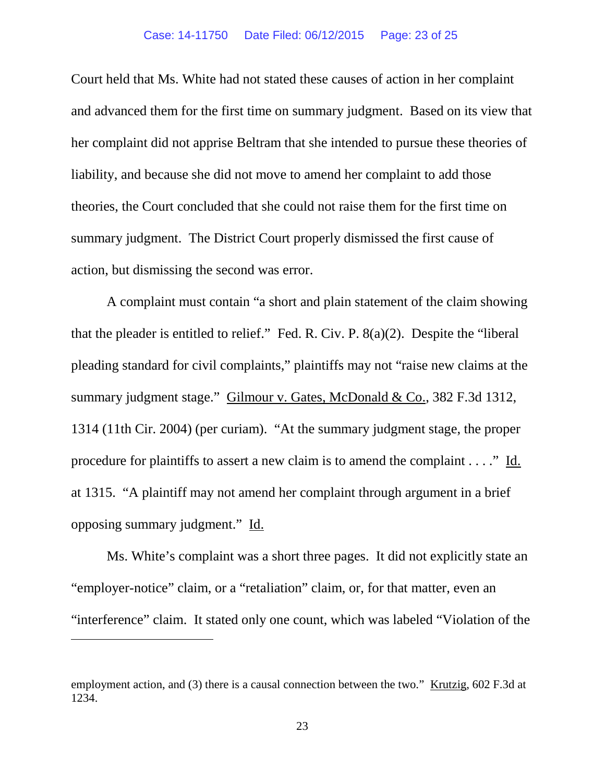#### Case: 14-11750 Date Filed: 06/12/2015 Page: 23 of 25

Court held that Ms. White had not stated these causes of action in her complaint and advanced them for the first time on summary judgment. Based on its view that her complaint did not apprise Beltram that she intended to pursue these theories of liability, and because she did not move to amend her complaint to add those theories, the Court concluded that she could not raise them for the first time on summary judgment. The District Court properly dismissed the first cause of action, but dismissing the second was error.

A complaint must contain "a short and plain statement of the claim showing that the pleader is entitled to relief." Fed. R. Civ. P. 8(a)(2). Despite the "liberal pleading standard for civil complaints," plaintiffs may not "raise new claims at the summary judgment stage." Gilmour v. Gates, McDonald & Co., 382 F.3d 1312, 1314 (11th Cir. 2004) (per curiam). "At the summary judgment stage, the proper procedure for plaintiffs to assert a new claim is to amend the complaint . . . ." Id. at 1315. "A plaintiff may not amend her complaint through argument in a brief opposing summary judgment." Id.

Ms. White's complaint was a short three pages. It did not explicitly state an "employer-notice" claim, or a "retaliation" claim, or, for that matter, even an "interference" claim. It stated only one count, which was labeled "Violation of the

 $\overline{a}$ 

employment action, and (3) there is a causal connection between the two." Krutzig, 602 F.3d at 1234.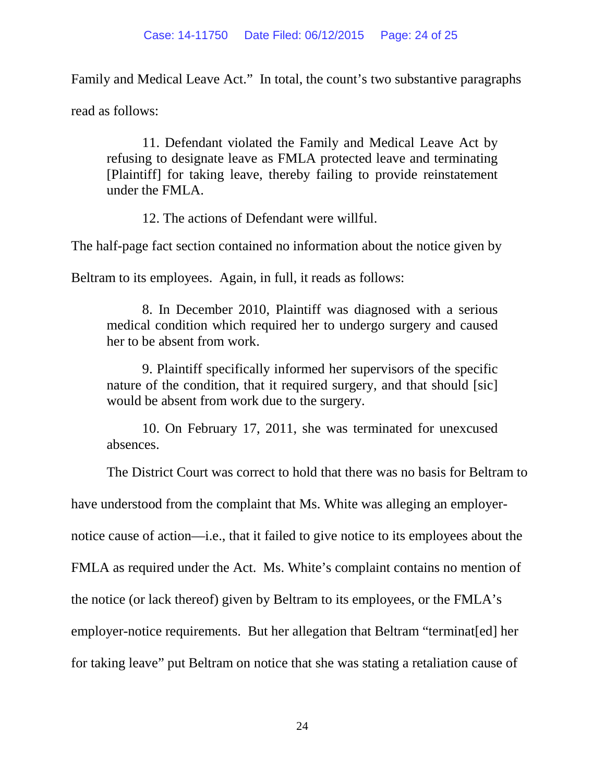Family and Medical Leave Act." In total, the count's two substantive paragraphs

read as follows:

11. Defendant violated the Family and Medical Leave Act by refusing to designate leave as FMLA protected leave and terminating [Plaintiff] for taking leave, thereby failing to provide reinstatement under the FMLA.

12. The actions of Defendant were willful.

The half-page fact section contained no information about the notice given by

Beltram to its employees. Again, in full, it reads as follows:

8. In December 2010, Plaintiff was diagnosed with a serious medical condition which required her to undergo surgery and caused her to be absent from work.

9. Plaintiff specifically informed her supervisors of the specific nature of the condition, that it required surgery, and that should [sic] would be absent from work due to the surgery.

10. On February 17, 2011, she was terminated for unexcused absences.

The District Court was correct to hold that there was no basis for Beltram to

have understood from the complaint that Ms. White was alleging an employer-

notice cause of action—i.e., that it failed to give notice to its employees about the

FMLA as required under the Act. Ms. White's complaint contains no mention of

the notice (or lack thereof) given by Beltram to its employees, or the FMLA's

employer-notice requirements. But her allegation that Beltram "terminat[ed] her

for taking leave" put Beltram on notice that she was stating a retaliation cause of